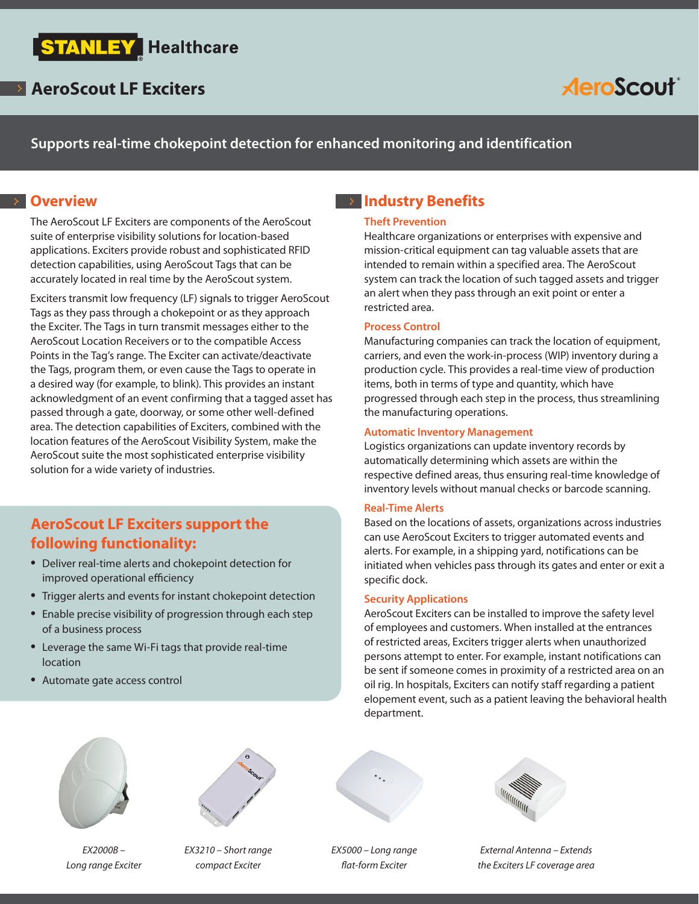

## **AeroScout**

**Supports real-time chokepoint detection for enhanced monitoring and identification**

#### **B** Overview

The AeroScout LF Exciters are components of the AeroScout suite of enterprise visibility solutions for location-based applications. Exciters provide robust and sophisticated RFID detection capabilities, using AeroScout Tags that can be accurately located in real time by the AeroScout system.

Exciters transmit low frequency (LF) signals to trigger AeroScout Tags as they pass through a chokepoint or as they approach the Exciter. The Tags in turn transmit messages either to the AeroScout Location Receivers or to the compatible Access Points in the Tag's range. The Exciter can activate/deactivate the Tags, program them, or even cause the Tags to operate in a desired way (for example, to blink). This provides an instant acknowledgment of an event confirming that a tagged asset has passed through a gate, doorway, or some other well-defined area. The detection capabilities of Exciters, combined with the location features of the AeroScout Visibility System, make the AeroScout suite the most sophisticated enterprise visibility solution for a wide variety of industries.

## **AeroScout LF Exciters support the following functionality:**

- Deliver real-time alerts and chokepoint detection for improved operational efficiency
- Trigger alerts and events for instant chokepoint detection
- Enable precise visibility of progression through each step of a business process
- Leverage the same Wi-Fi tags that provide real-time location
- Automate gate access control

### **Industry Benefits**

#### **Theft Prevention**

Healthcare organizations or enterprises with expensive and mission-critical equipment can tag valuable assets that are intended to remain within a specified area. The AeroScout system can track the location of such tagged assets and trigger an alert when they pass through an exit point or enter a restricted area.

#### **Process Control**

Manufacturing companies can track the location of equipment, carriers, and even the work-in-process (WIP) inventory during a production cycle. This provides a real-time view of production items, both in terms of type and quantity, which have progressed through each step in the process, thus streamlining the manufacturing operations.

#### **Automatic Inventory Management**

Logistics organizations can update inventory records by automatically determining which assets are within the respective defined areas, thus ensuring real-time knowledge of inventory levels without manual checks or barcode scanning.

#### **Real-Time Alerts**

Based on the locations of assets, organizations across industries can use AeroScout Exciters to trigger automated events and alerts. For example, in a shipping yard, notifications can be initiated when vehicles pass through its gates and enter or exit a specific dock.

#### **Security Applications**

AeroScout Exciters can be installed to improve the safety level of employees and customers. When installed at the entrances of restricted areas, Exciters trigger alerts when unauthorized persons attempt to enter. For example, instant notifications can be sent if someone comes in proximity of a restricted area on an oil rig. In hospitals, Exciters can notify staff regarding a patient elopement event, such as a patient leaving the behavioral health department.



*EX2000B – Long range Exciter*



*EX3210 – Short range compact Exciter*



*EX5000 – Long range flat-form Exciter*



*External Antenna – Extends the Exciters LF coverage area*